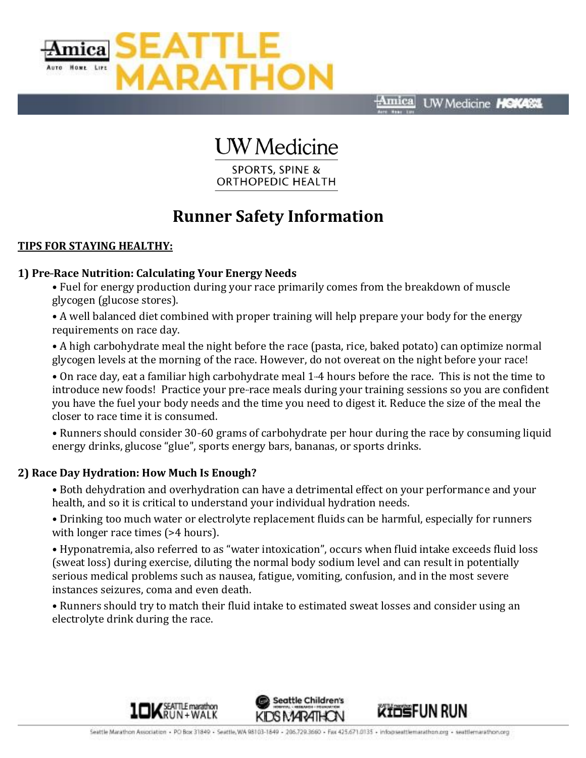

Amica **UW** Medicine HOKAS

# **UW** Medicine

**SPORTS, SPINE & ORTHOPEDIC HEALTH** 

## **Runner Safety Information**

#### **TIPS FOR STAYING HEALTHY:**

#### **1) Pre-Race Nutrition: Calculating Your Energy Needs**

• Fuel for energy production during your race primarily comes from the breakdown of muscle glycogen (glucose stores).

• A well balanced diet combined with proper training will help prepare your body for the energy requirements on race day.

• A high carbohydrate meal the night before the race (pasta, rice, baked potato) can optimize normal glycogen levels at the morning of the race. However, do not overeat on the night before your race!

• On race day, eat a familiar high carbohydrate meal 1-4 hours before the race. This is not the time to introduce new foods! Practice your pre-race meals during your training sessions so you are confident you have the fuel your body needs and the time you need to digest it. Reduce the size of the meal the closer to race time it is consumed.

• Runners should consider 30-60 grams of carbohydrate per hour during the race by consuming liquid energy drinks, glucose "glue", sports energy bars, bananas, or sports drinks.

#### **2) Race Day Hydration: How Much Is Enough?**

• Both dehydration and overhydration can have a detrimental effect on your performance and your health, and so it is critical to understand your individual hydration needs.

• Drinking too much water or electrolyte replacement fluids can be harmful, especially for runners with longer race times (>4 hours).

• Hyponatremia, also referred to as "water intoxication", occurs when fluid intake exceeds fluid loss (sweat loss) during exercise, diluting the normal body sodium level and can result in potentially serious medical problems such as nausea, fatigue, vomiting, confusion, and in the most severe instances seizures, coma and even death.

• Runners should try to match their fluid intake to estimated sweat losses and consider using an electrolyte drink during the race.





**WINGFUN RUN**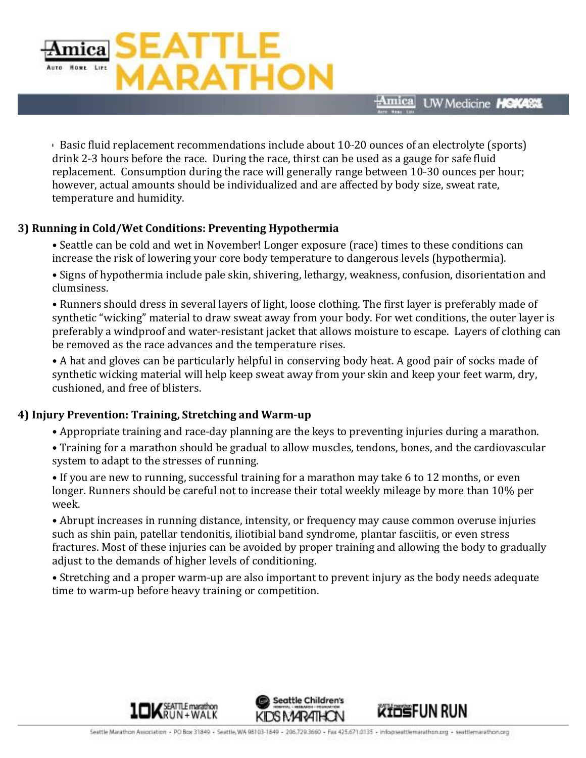

• Basic fluid replacement recommendations include about 10-20 ounces of an electrolyte (sports) drink 2-3 hours before the race. During the race, thirst can be used as a gauge for safe fluid replacement. Consumption during the race will generally range between 10-30 ounces per hour; however, actual amounts should be individualized and are affected by body size, sweat rate, temperature and humidity.

#### **3) Running in Cold/Wet Conditions: Preventing Hypothermia**

• Seattle can be cold and wet in November! Longer exposure (race) times to these conditions can increase the risk of lowering your core body temperature to dangerous levels (hypothermia).

• Signs of hypothermia include pale skin, shivering, lethargy, weakness, confusion, disorientation and clumsiness.

• Runners should dress in several layers of light, loose clothing. The first layer is preferably made of synthetic "wicking" material to draw sweat away from your body. For wet conditions, the outer layer is preferably a windproof and water-resistant jacket that allows moisture to escape. Layers of clothing can be removed as the race advances and the temperature rises.

• A hat and gloves can be particularly helpful in conserving body heat. A good pair of socks made of synthetic wicking material will help keep sweat away from your skin and keep your feet warm, dry, cushioned, and free of blisters.

### **4) Injury Prevention: Training, Stretching and Warm-up**

- Appropriate training and race-day planning are the keys to preventing injuries during a marathon.
- Training for a marathon should be gradual to allow muscles, tendons, bones, and the cardiovascular system to adapt to the stresses of running.

• If you are new to running, successful training for a marathon may take 6 to 12 months, or even longer. Runners should be careful not to increase their total weekly mileage by more than 10% per week.

• Abrupt increases in running distance, intensity, or frequency may cause common overuse injuries such as shin pain, patellar tendonitis, iliotibial band syndrome, plantar fasciitis, or even stress fractures. Most of these injuries can be avoided by proper training and allowing the body to gradually adjust to the demands of higher levels of conditioning.

• Stretching and a proper warm-up are also important to prevent injury as the body needs adequate time to warm-up before heavy training or competition.